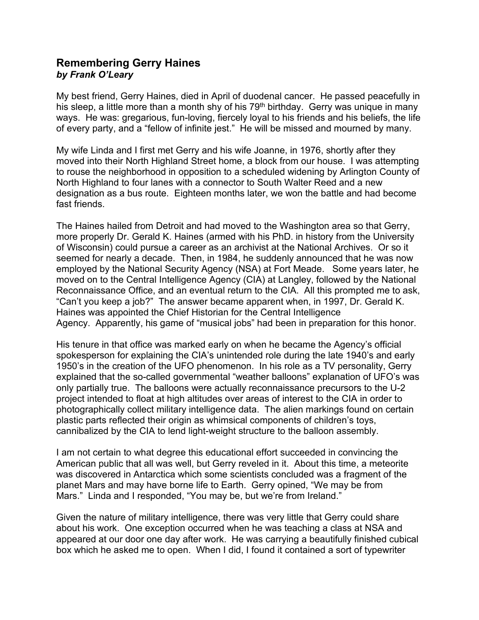## **Remembering Gerry Haines**  *by Frank O'Leary*

My best friend, Gerry Haines, died in April of duodenal cancer. He passed peacefully in his sleep, a little more than a month shy of his  $79<sup>th</sup>$  birthday. Gerry was unique in many ways. He was: gregarious, fun-loving, fiercely loyal to his friends and his beliefs, the life of every party, and a "fellow of infinite jest." He will be missed and mourned by many.

My wife Linda and I first met Gerry and his wife Joanne, in 1976, shortly after they moved into their North Highland Street home, a block from our house. I was attempting to rouse the neighborhood in opposition to a scheduled widening by Arlington County of North Highland to four lanes with a connector to South Walter Reed and a new designation as a bus route. Eighteen months later, we won the battle and had become fast friends.

The Haines hailed from Detroit and had moved to the Washington area so that Gerry, more properly Dr. Gerald K. Haines (armed with his PhD. in history from the University of Wisconsin) could pursue a career as an archivist at the National Archives. Or so it seemed for nearly a decade. Then, in 1984, he suddenly announced that he was now employed by the National Security Agency (NSA) at Fort Meade. Some years later, he moved on to the Central Intelligence Agency (CIA) at Langley, followed by the National Reconnaissance Office, and an eventual return to the CIA. All this prompted me to ask, "Can't you keep a job?" The answer became apparent when, in 1997, Dr. Gerald K. Haines was appointed the Chief Historian for the Central Intelligence Agency. Apparently, his game of "musical jobs" had been in preparation for this honor.

His tenure in that office was marked early on when he became the Agency's official spokesperson for explaining the CIA's unintended role during the late 1940's and early 1950's in the creation of the UFO phenomenon. In his role as a TV personality, Gerry explained that the so-called governmental "weather balloons" explanation of UFO's was only partially true. The balloons were actually reconnaissance precursors to the U-2 project intended to float at high altitudes over areas of interest to the CIA in order to photographically collect military intelligence data. The alien markings found on certain plastic parts reflected their origin as whimsical components of children's toys, cannibalized by the CIA to lend light-weight structure to the balloon assembly.

I am not certain to what degree this educational effort succeeded in convincing the American public that all was well, but Gerry reveled in it. About this time, a meteorite was discovered in Antarctica which some scientists concluded was a fragment of the planet Mars and may have borne life to Earth. Gerry opined, "We may be from Mars." Linda and I responded, "You may be, but we're from Ireland."

Given the nature of military intelligence, there was very little that Gerry could share about his work. One exception occurred when he was teaching a class at NSA and appeared at our door one day after work. He was carrying a beautifully finished cubical box which he asked me to open. When I did, I found it contained a sort of typewriter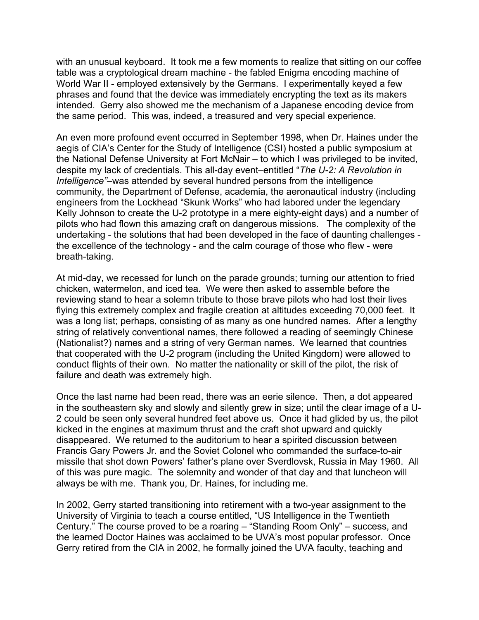with an unusual keyboard. It took me a few moments to realize that sitting on our coffee table was a cryptological dream machine - the fabled Enigma encoding machine of World War II - employed extensively by the Germans. I experimentally keyed a few phrases and found that the device was immediately encrypting the text as its makers intended. Gerry also showed me the mechanism of a Japanese encoding device from the same period. This was, indeed, a treasured and very special experience.

An even more profound event occurred in September 1998, when Dr. Haines under the aegis of CIA's Center for the Study of Intelligence (CSI) hosted a public symposium at the National Defense University at Fort McNair – to which I was privileged to be invited, despite my lack of credentials. This all-day event–entitled "*The U-2: A Revolution in Intelligence"*–was attended by several hundred persons from the intelligence community, the Department of Defense, academia, the aeronautical industry (including engineers from the Lockhead "Skunk Works" who had labored under the legendary Kelly Johnson to create the U-2 prototype in a mere eighty-eight days) and a number of pilots who had flown this amazing craft on dangerous missions. The complexity of the undertaking - the solutions that had been developed in the face of daunting challenges the excellence of the technology - and the calm courage of those who flew - were breath-taking.

At mid-day, we recessed for lunch on the parade grounds; turning our attention to fried chicken, watermelon, and iced tea. We were then asked to assemble before the reviewing stand to hear a solemn tribute to those brave pilots who had lost their lives flying this extremely complex and fragile creation at altitudes exceeding 70,000 feet. It was a long list; perhaps, consisting of as many as one hundred names. After a lengthy string of relatively conventional names, there followed a reading of seemingly Chinese (Nationalist?) names and a string of very German names. We learned that countries that cooperated with the U-2 program (including the United Kingdom) were allowed to conduct flights of their own. No matter the nationality or skill of the pilot, the risk of failure and death was extremely high.

Once the last name had been read, there was an eerie silence. Then, a dot appeared in the southeastern sky and slowly and silently grew in size; until the clear image of a U-2 could be seen only several hundred feet above us. Once it had glided by us, the pilot kicked in the engines at maximum thrust and the craft shot upward and quickly disappeared. We returned to the auditorium to hear a spirited discussion between Francis Gary Powers Jr. and the Soviet Colonel who commanded the surface-to-air missile that shot down Powers' father's plane over Sverdlovsk, Russia in May 1960. All of this was pure magic. The solemnity and wonder of that day and that luncheon will always be with me. Thank you, Dr. Haines, for including me.

In 2002, Gerry started transitioning into retirement with a two-year assignment to the University of Virginia to teach a course entitled, "US Intelligence in the Twentieth Century." The course proved to be a roaring – "Standing Room Only" – success, and the learned Doctor Haines was acclaimed to be UVA's most popular professor. Once Gerry retired from the CIA in 2002, he formally joined the UVA faculty, teaching and